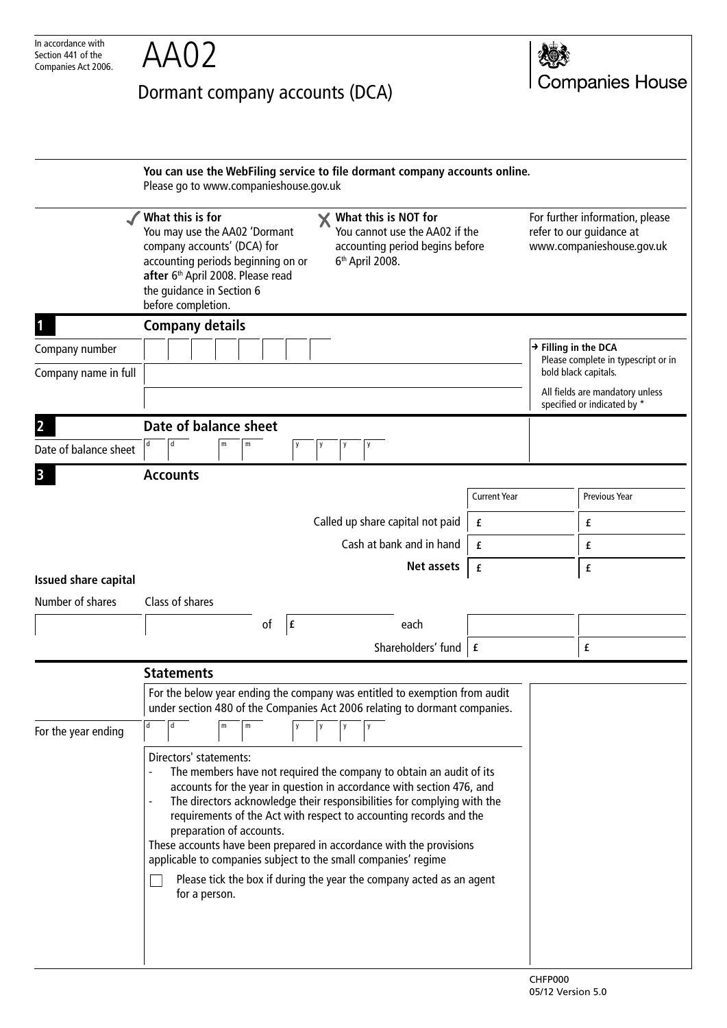| In accordance with<br>Section 441 of the | AA02                                                                                                                                                                                                                                                                                                                                                                                                                                                                                                                                                                                                                                |                     |                                                                                          |  |
|------------------------------------------|-------------------------------------------------------------------------------------------------------------------------------------------------------------------------------------------------------------------------------------------------------------------------------------------------------------------------------------------------------------------------------------------------------------------------------------------------------------------------------------------------------------------------------------------------------------------------------------------------------------------------------------|---------------------|------------------------------------------------------------------------------------------|--|
| Companies Act 2006.                      | Dormant company accounts (DCA)                                                                                                                                                                                                                                                                                                                                                                                                                                                                                                                                                                                                      |                     | <b>Companies House</b>                                                                   |  |
|                                          |                                                                                                                                                                                                                                                                                                                                                                                                                                                                                                                                                                                                                                     |                     |                                                                                          |  |
|                                          | You can use the WebFiling service to file dormant company accounts online.<br>Please go to www.companieshouse.gov.uk                                                                                                                                                                                                                                                                                                                                                                                                                                                                                                                |                     |                                                                                          |  |
|                                          | What this is for<br>What this is NOT for<br>X<br>You cannot use the AA02 if the<br>You may use the AA02 'Dormant<br>company accounts' (DCA) for<br>accounting period begins before<br>accounting periods beginning on or<br>6 <sup>th</sup> April 2008.<br>after 6th April 2008. Please read<br>the guidance in Section 6<br>before completion.                                                                                                                                                                                                                                                                                     |                     | For further information, please<br>refer to our guidance at<br>www.companieshouse.gov.uk |  |
|                                          | <b>Company details</b>                                                                                                                                                                                                                                                                                                                                                                                                                                                                                                                                                                                                              |                     |                                                                                          |  |
| Company number                           |                                                                                                                                                                                                                                                                                                                                                                                                                                                                                                                                                                                                                                     |                     | $\rightarrow$ Filling in the DCA<br>Please complete in typescript or in                  |  |
| Company name in full                     |                                                                                                                                                                                                                                                                                                                                                                                                                                                                                                                                                                                                                                     |                     | bold black capitals.<br>All fields are mandatory unless<br>specified or indicated by *   |  |
|                                          | Date of balance sheet                                                                                                                                                                                                                                                                                                                                                                                                                                                                                                                                                                                                               |                     |                                                                                          |  |
| Date of balance sheet                    | d<br>d<br>m<br>m                                                                                                                                                                                                                                                                                                                                                                                                                                                                                                                                                                                                                    |                     |                                                                                          |  |
|                                          | <b>Accounts</b>                                                                                                                                                                                                                                                                                                                                                                                                                                                                                                                                                                                                                     |                     |                                                                                          |  |
|                                          |                                                                                                                                                                                                                                                                                                                                                                                                                                                                                                                                                                                                                                     | <b>Current Year</b> | <b>Previous Year</b>                                                                     |  |
|                                          | Called up share capital not paid                                                                                                                                                                                                                                                                                                                                                                                                                                                                                                                                                                                                    | £                   | £                                                                                        |  |
|                                          | Cash at bank and in hand                                                                                                                                                                                                                                                                                                                                                                                                                                                                                                                                                                                                            | £                   | £                                                                                        |  |
| <b>Issued share capital</b>              | Net assets                                                                                                                                                                                                                                                                                                                                                                                                                                                                                                                                                                                                                          | £                   | £                                                                                        |  |
| Number of shares                         | Class of shares                                                                                                                                                                                                                                                                                                                                                                                                                                                                                                                                                                                                                     |                     |                                                                                          |  |
|                                          | of<br> f <br>each                                                                                                                                                                                                                                                                                                                                                                                                                                                                                                                                                                                                                   |                     |                                                                                          |  |
|                                          | Shareholders' fund $\mathbf{f}$                                                                                                                                                                                                                                                                                                                                                                                                                                                                                                                                                                                                     |                     | £                                                                                        |  |
|                                          | <b>Statements</b>                                                                                                                                                                                                                                                                                                                                                                                                                                                                                                                                                                                                                   |                     |                                                                                          |  |
|                                          | For the below year ending the company was entitled to exemption from audit<br>under section 480 of the Companies Act 2006 relating to dormant companies.<br>d<br>m<br>m                                                                                                                                                                                                                                                                                                                                                                                                                                                             |                     |                                                                                          |  |
| For the year ending                      |                                                                                                                                                                                                                                                                                                                                                                                                                                                                                                                                                                                                                                     |                     |                                                                                          |  |
|                                          | Directors' statements:<br>The members have not required the company to obtain an audit of its<br>$\overline{\phantom{a}}$<br>accounts for the year in question in accordance with section 476, and<br>The directors acknowledge their responsibilities for complying with the<br>$\blacksquare$<br>requirements of the Act with respect to accounting records and the<br>preparation of accounts.<br>These accounts have been prepared in accordance with the provisions<br>applicable to companies subject to the small companies' regime<br>Please tick the box if during the year the company acted as an agent<br>for a person. |                     |                                                                                          |  |
|                                          |                                                                                                                                                                                                                                                                                                                                                                                                                                                                                                                                                                                                                                     |                     |                                                                                          |  |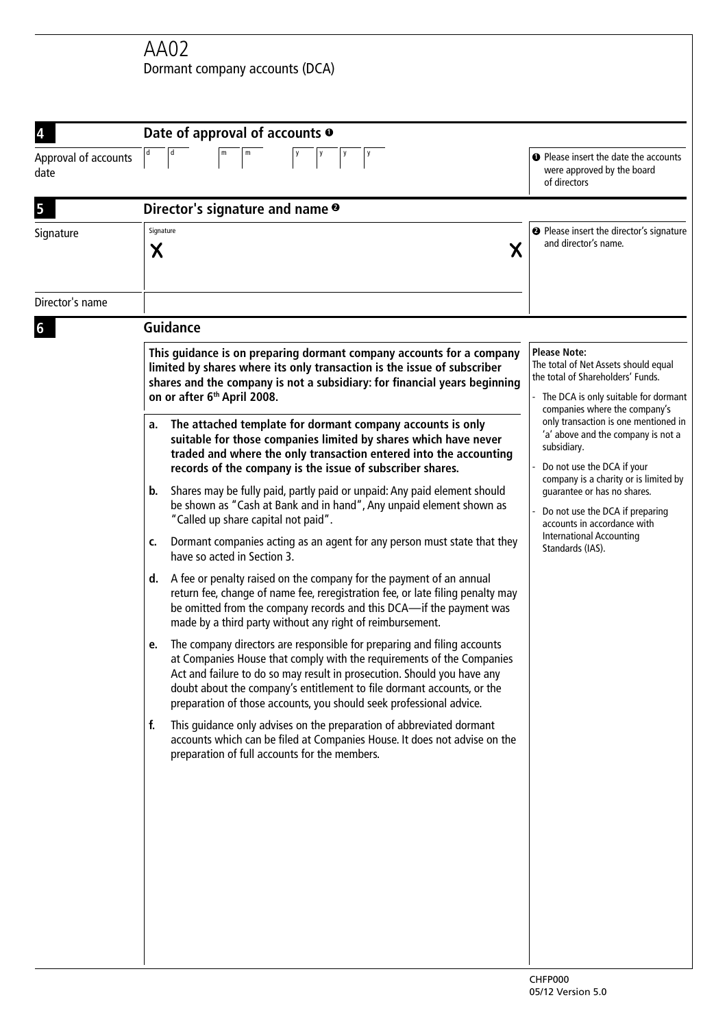AA02 Dormant company accounts (DCA)

|                              | Date of approval of accounts $\bullet$                                                                                                                                                                                                                                                                                                                                             |                                                                                                                                                                                                                                                                                                                          |  |
|------------------------------|------------------------------------------------------------------------------------------------------------------------------------------------------------------------------------------------------------------------------------------------------------------------------------------------------------------------------------------------------------------------------------|--------------------------------------------------------------------------------------------------------------------------------------------------------------------------------------------------------------------------------------------------------------------------------------------------------------------------|--|
| Approval of accounts<br>date | m<br> y <br>  y                                                                                                                                                                                                                                                                                                                                                                    | <b>O</b> Please insert the date the accounts<br>were approved by the board<br>of directors                                                                                                                                                                                                                               |  |
| 5                            | Director's signature and name <sup>o</sup>                                                                                                                                                                                                                                                                                                                                         |                                                                                                                                                                                                                                                                                                                          |  |
| Signature                    | Signature<br>Χ<br>Х                                                                                                                                                                                                                                                                                                                                                                | <sup>2</sup> Please insert the director's signature<br>and director's name.                                                                                                                                                                                                                                              |  |
| Director's name              |                                                                                                                                                                                                                                                                                                                                                                                    |                                                                                                                                                                                                                                                                                                                          |  |
| 6                            | <b>Guidance</b>                                                                                                                                                                                                                                                                                                                                                                    |                                                                                                                                                                                                                                                                                                                          |  |
|                              | This guidance is on preparing dormant company accounts for a company<br>limited by shares where its only transaction is the issue of subscriber<br>shares and the company is not a subsidiary: for financial years beginning<br>on or after 6 <sup>th</sup> April 2008.                                                                                                            | <b>Please Note:</b><br>The total of Net Assets should equal<br>the total of Shareholders' Funds.<br>The DCA is only suitable for dormant<br>companies where the company's                                                                                                                                                |  |
|                              | The attached template for dormant company accounts is only<br>a.<br>suitable for those companies limited by shares which have never<br>traded and where the only transaction entered into the accounting<br>records of the company is the issue of subscriber shares.                                                                                                              | only transaction is one mentioned in<br>'a' above and the company is not a<br>subsidiary.<br>Do not use the DCA if your<br>company is a charity or is limited by<br>guarantee or has no shares.<br>Do not use the DCA if preparing<br>accounts in accordance with<br><b>International Accounting</b><br>Standards (IAS). |  |
|                              | Shares may be fully paid, partly paid or unpaid: Any paid element should<br>b.<br>be shown as "Cash at Bank and in hand", Any unpaid element shown as<br>"Called up share capital not paid".                                                                                                                                                                                       |                                                                                                                                                                                                                                                                                                                          |  |
|                              | Dormant companies acting as an agent for any person must state that they<br>c.<br>have so acted in Section 3.                                                                                                                                                                                                                                                                      |                                                                                                                                                                                                                                                                                                                          |  |
|                              | A fee or penalty raised on the company for the payment of an annual<br>d.<br>return fee, change of name fee, reregistration fee, or late filing penalty may<br>be omitted from the company records and this DCA-if the payment was<br>made by a third party without any right of reimbursement.                                                                                    |                                                                                                                                                                                                                                                                                                                          |  |
|                              | The company directors are responsible for preparing and filing accounts<br>e.<br>at Companies House that comply with the requirements of the Companies<br>Act and failure to do so may result in prosecution. Should you have any<br>doubt about the company's entitlement to file dormant accounts, or the<br>preparation of those accounts, you should seek professional advice. |                                                                                                                                                                                                                                                                                                                          |  |
|                              | This guidance only advises on the preparation of abbreviated dormant<br>f.<br>accounts which can be filed at Companies House. It does not advise on the<br>preparation of full accounts for the members.                                                                                                                                                                           |                                                                                                                                                                                                                                                                                                                          |  |
|                              |                                                                                                                                                                                                                                                                                                                                                                                    |                                                                                                                                                                                                                                                                                                                          |  |
|                              |                                                                                                                                                                                                                                                                                                                                                                                    |                                                                                                                                                                                                                                                                                                                          |  |
|                              |                                                                                                                                                                                                                                                                                                                                                                                    |                                                                                                                                                                                                                                                                                                                          |  |